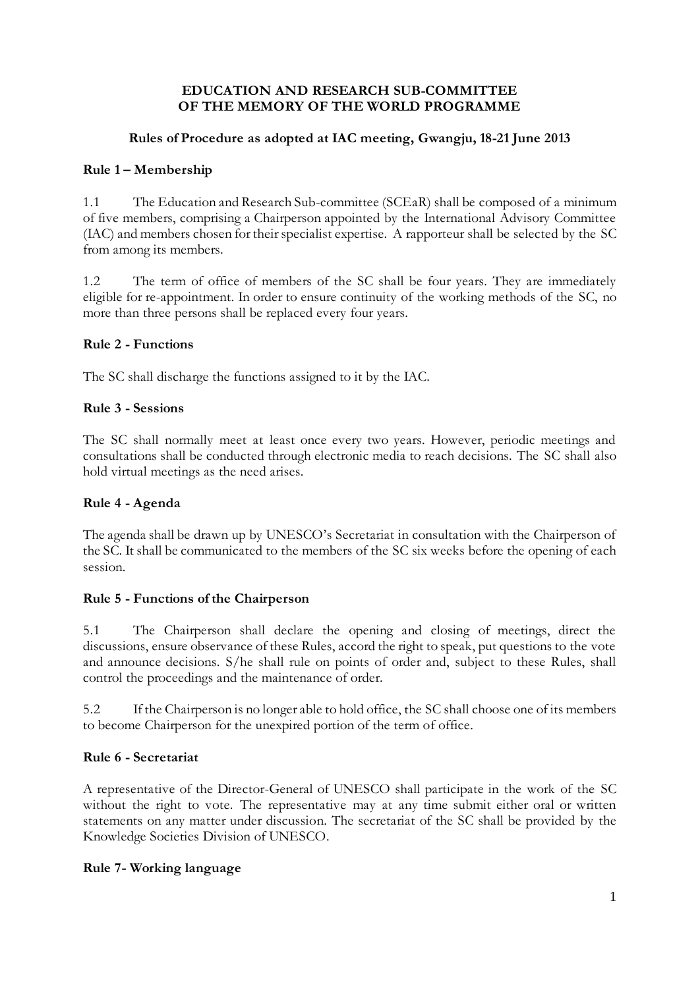### **EDUCATION AND RESEARCH SUB-COMMITTEE OF THE MEMORY OF THE WORLD PROGRAMME**

# **Rules of Procedure as adopted at IAC meeting, Gwangju, 18-21 June 2013**

# **Rule 1 – Membership**

1.1 The Education and Research Sub-committee (SCEaR) shall be composed of a minimum of five members, comprising a Chairperson appointed by the International Advisory Committee (IAC) and members chosen for their specialist expertise. A rapporteur shall be selected by the SC from among its members.

1.2 The term of office of members of the SC shall be four years. They are immediately eligible for re-appointment. In order to ensure continuity of the working methods of the SC, no more than three persons shall be replaced every four years.

## **Rule 2 - Functions**

The SC shall discharge the functions assigned to it by the IAC.

## **Rule 3 - Sessions**

The SC shall normally meet at least once every two years. However, periodic meetings and consultations shall be conducted through electronic media to reach decisions. The SC shall also hold virtual meetings as the need arises.

#### **Rule 4 - Agenda**

The agenda shall be drawn up by UNESCO's Secretariat in consultation with the Chairperson of the SC. It shall be communicated to the members of the SC six weeks before the opening of each session.

#### **Rule 5 - Functions of the Chairperson**

5.1 The Chairperson shall declare the opening and closing of meetings, direct the discussions, ensure observance of these Rules, accord the right to speak, put questions to the vote and announce decisions. S/he shall rule on points of order and, subject to these Rules, shall control the proceedings and the maintenance of order.

5.2 If the Chairperson is no longer able to hold office, the SC shall choose one of its members to become Chairperson for the unexpired portion of the term of office.

# **Rule 6 - Secretariat**

A representative of the Director-General of UNESCO shall participate in the work of the SC without the right to vote. The representative may at any time submit either oral or written statements on any matter under discussion. The secretariat of the SC shall be provided by the Knowledge Societies Division of UNESCO.

#### **Rule 7- Working language**